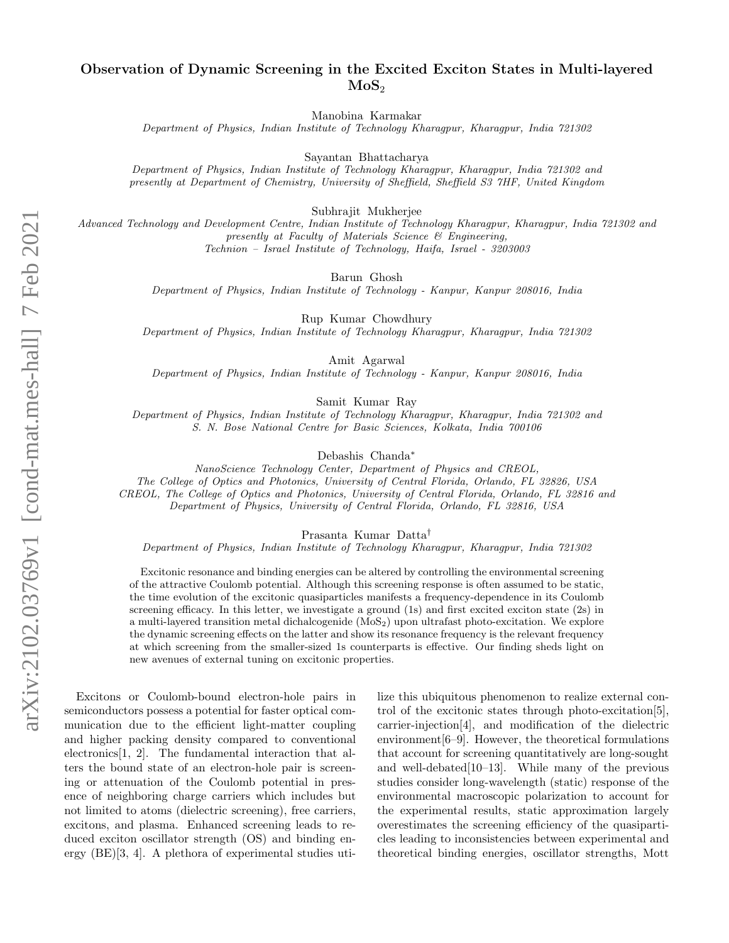## Observation of Dynamic Screening in the Excited Exciton States in Multi-layered  $MoS<sub>2</sub>$

Manobina Karmakar

Department of Physics, Indian Institute of Technology Kharagpur, Kharagpur, India 721302

Sayantan Bhattacharya

Department of Physics, Indian Institute of Technology Kharagpur, Kharagpur, India 721302 and presently at Department of Chemistry, University of Sheffield, Sheffield S3 7HF, United Kingdom

Subhrajit Mukherjee

Advanced Technology and Development Centre, Indian Institute of Technology Kharagpur, Kharagpur, India 721302 and presently at Faculty of Materials Science & Engineering, Technion – Israel Institute of Technology, Haifa, Israel - 3203003

Barun Ghosh

Department of Physics, Indian Institute of Technology - Kanpur, Kanpur 208016, India

Rup Kumar Chowdhury

Department of Physics, Indian Institute of Technology Kharagpur, Kharagpur, India 721302

Amit Agarwal

Department of Physics, Indian Institute of Technology - Kanpur, Kanpur 208016, India

Samit Kumar Ray

Department of Physics, Indian Institute of Technology Kharagpur, Kharagpur, India 721302 and S. N. Bose National Centre for Basic Sciences, Kolkata, India 700106

Debashis Chanda<sup>∗</sup>

NanoScience Technology Center, Department of Physics and CREOL,

The College of Optics and Photonics, University of Central Florida, Orlando, FL 32826, USA

CREOL, The College of Optics and Photonics, University of Central Florida, Orlando, FL 32816 and

Department of Physics, University of Central Florida, Orlando, FL 32816, USA

Prasanta Kumar Datta†

Department of Physics, Indian Institute of Technology Kharagpur, Kharagpur, India 721302

Excitonic resonance and binding energies can be altered by controlling the environmental screening of the attractive Coulomb potential. Although this screening response is often assumed to be static, the time evolution of the excitonic quasiparticles manifests a frequency-dependence in its Coulomb screening efficacy. In this letter, we investigate a ground (1s) and first excited exciton state (2s) in a multi-layered transition metal dichalcogenide (MoS2) upon ultrafast photo-excitation. We explore the dynamic screening effects on the latter and show its resonance frequency is the relevant frequency at which screening from the smaller-sized 1s counterparts is effective. Our finding sheds light on new avenues of external tuning on excitonic properties.

Excitons or Coulomb-bound electron-hole pairs in semiconductors possess a potential for faster optical communication due to the efficient light-matter coupling and higher packing density compared to conventional electronics[1, 2]. The fundamental interaction that alters the bound state of an electron-hole pair is screening or attenuation of the Coulomb potential in presence of neighboring charge carriers which includes but not limited to atoms (dielectric screening), free carriers, excitons, and plasma. Enhanced screening leads to reduced exciton oscillator strength (OS) and binding energy (BE)[3, 4]. A plethora of experimental studies utilize this ubiquitous phenomenon to realize external control of the excitonic states through photo-excitation[5], carrier-injection[4], and modification of the dielectric environment $[6-9]$ . However, the theoretical formulations that account for screening quantitatively are long-sought and well-debated[10–13]. While many of the previous studies consider long-wavelength (static) response of the environmental macroscopic polarization to account for the experimental results, static approximation largely overestimates the screening efficiency of the quasiparticles leading to inconsistencies between experimental and theoretical binding energies, oscillator strengths, Mott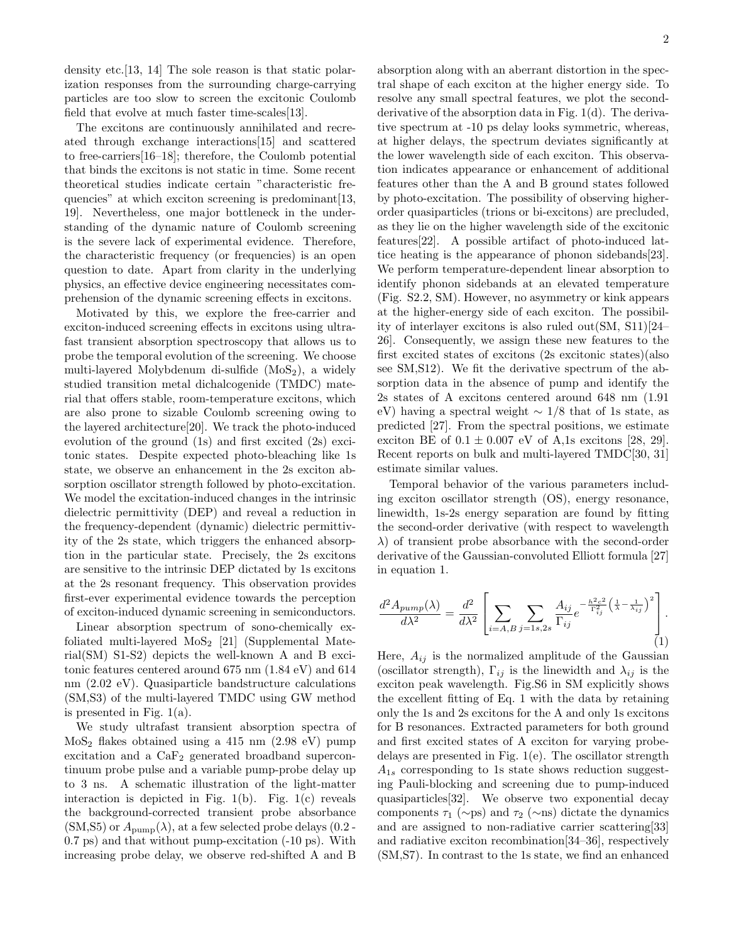density etc.[13, 14] The sole reason is that static polarization responses from the surrounding charge-carrying particles are too slow to screen the excitonic Coulomb field that evolve at much faster time-scales[13].

The excitons are continuously annihilated and recreated through exchange interactions[15] and scattered to free-carriers[16–18]; therefore, the Coulomb potential that binds the excitons is not static in time. Some recent theoretical studies indicate certain "characteristic frequencies" at which exciton screening is predominant [13, 19]. Nevertheless, one major bottleneck in the understanding of the dynamic nature of Coulomb screening is the severe lack of experimental evidence. Therefore, the characteristic frequency (or frequencies) is an open question to date. Apart from clarity in the underlying physics, an effective device engineering necessitates comprehension of the dynamic screening effects in excitons.

Motivated by this, we explore the free-carrier and exciton-induced screening effects in excitons using ultrafast transient absorption spectroscopy that allows us to probe the temporal evolution of the screening. We choose multi-layered Molybdenum di-sulfide  $(MoS<sub>2</sub>)$ , a widely studied transition metal dichalcogenide (TMDC) material that offers stable, room-temperature excitons, which are also prone to sizable Coulomb screening owing to the layered architecture[20]. We track the photo-induced evolution of the ground (1s) and first excited (2s) excitonic states. Despite expected photo-bleaching like 1s state, we observe an enhancement in the 2s exciton absorption oscillator strength followed by photo-excitation. We model the excitation-induced changes in the intrinsic dielectric permittivity (DEP) and reveal a reduction in the frequency-dependent (dynamic) dielectric permittivity of the 2s state, which triggers the enhanced absorption in the particular state. Precisely, the 2s excitons are sensitive to the intrinsic DEP dictated by 1s excitons at the 2s resonant frequency. This observation provides first-ever experimental evidence towards the perception of exciton-induced dynamic screening in semiconductors.

Linear absorption spectrum of sono-chemically exfoliated multi-layered  $MoS<sub>2</sub>$  [21] (Supplemental Material(SM) S1-S2) depicts the well-known A and B excitonic features centered around 675 nm (1.84 eV) and 614 nm (2.02 eV). Quasiparticle bandstructure calculations (SM,S3) of the multi-layered TMDC using GW method is presented in Fig. 1(a).

We study ultrafast transient absorption spectra of  $MoS<sub>2</sub>$  flakes obtained using a 415 nm (2.98 eV) pump excitation and a  $CaF<sub>2</sub>$  generated broadband supercontinuum probe pulse and a variable pump-probe delay up to 3 ns. A schematic illustration of the light-matter interaction is depicted in Fig.  $1(b)$ . Fig.  $1(c)$  reveals the background-corrected transient probe absorbance  $(SM,S5)$  or  $A_{\text{pump}}(\lambda)$ , at a few selected probe delays (0.2 -0.7 ps) and that without pump-excitation (-10 ps). With increasing probe delay, we observe red-shifted A and B

absorption along with an aberrant distortion in the spectral shape of each exciton at the higher energy side. To resolve any small spectral features, we plot the secondderivative of the absorption data in Fig. 1(d). The derivative spectrum at -10 ps delay looks symmetric, whereas, at higher delays, the spectrum deviates significantly at the lower wavelength side of each exciton. This observation indicates appearance or enhancement of additional features other than the A and B ground states followed by photo-excitation. The possibility of observing higherorder quasiparticles (trions or bi-excitons) are precluded, as they lie on the higher wavelength side of the excitonic features[22]. A possible artifact of photo-induced lattice heating is the appearance of phonon sidebands[23]. We perform temperature-dependent linear absorption to identify phonon sidebands at an elevated temperature (Fig. S2.2, SM). However, no asymmetry or kink appears at the higher-energy side of each exciton. The possibility of interlayer excitons is also ruled out(SM, S11)[24– 26]. Consequently, we assign these new features to the first excited states of excitons (2s excitonic states)(also see SM,S12). We fit the derivative spectrum of the absorption data in the absence of pump and identify the 2s states of A excitons centered around 648 nm (1.91 eV) having a spectral weight  $\sim 1/8$  that of 1s state, as predicted [27]. From the spectral positions, we estimate exciton BE of  $0.1 \pm 0.007$  eV of A,1s excitons [28, 29]. Recent reports on bulk and multi-layered TMDC[30, 31] estimate similar values.

Temporal behavior of the various parameters including exciton oscillator strength (OS), energy resonance, linewidth, 1s-2s energy separation are found by fitting the second-order derivative (with respect to wavelength  $\lambda$ ) of transient probe absorbance with the second-order derivative of the Gaussian-convoluted Elliott formula [27] in equation 1.

$$
\frac{d^2 A_{pump}(\lambda)}{d\lambda^2} = \frac{d^2}{d\lambda^2} \left[ \sum_{i=A,B} \sum_{j=1s,2s} \frac{A_{ij}}{\Gamma_{ij}} e^{-\frac{h^2 c^2}{\Gamma_{ij}^2} \left(\frac{1}{\lambda} - \frac{1}{\lambda_{ij}}\right)^2} \right].
$$
\n(1)

Here,  $A_{ij}$  is the normalized amplitude of the Gaussian (oscillator strength),  $\Gamma_{ij}$  is the linewidth and  $\lambda_{ij}$  is the exciton peak wavelength. Fig.S6 in SM explicitly shows the excellent fitting of Eq. 1 with the data by retaining only the 1s and 2s excitons for the A and only 1s excitons for B resonances. Extracted parameters for both ground and first excited states of A exciton for varying probedelays are presented in Fig. 1(e). The oscillator strength  $A_{1s}$  corresponding to 1s state shows reduction suggesting Pauli-blocking and screening due to pump-induced quasiparticles[32]. We observe two exponential decay components  $\tau_1$  (∼ps) and  $\tau_2$  (∼ns) dictate the dynamics and are assigned to non-radiative carrier scattering[33] and radiative exciton recombination[34–36], respectively (SM,S7). In contrast to the 1s state, we find an enhanced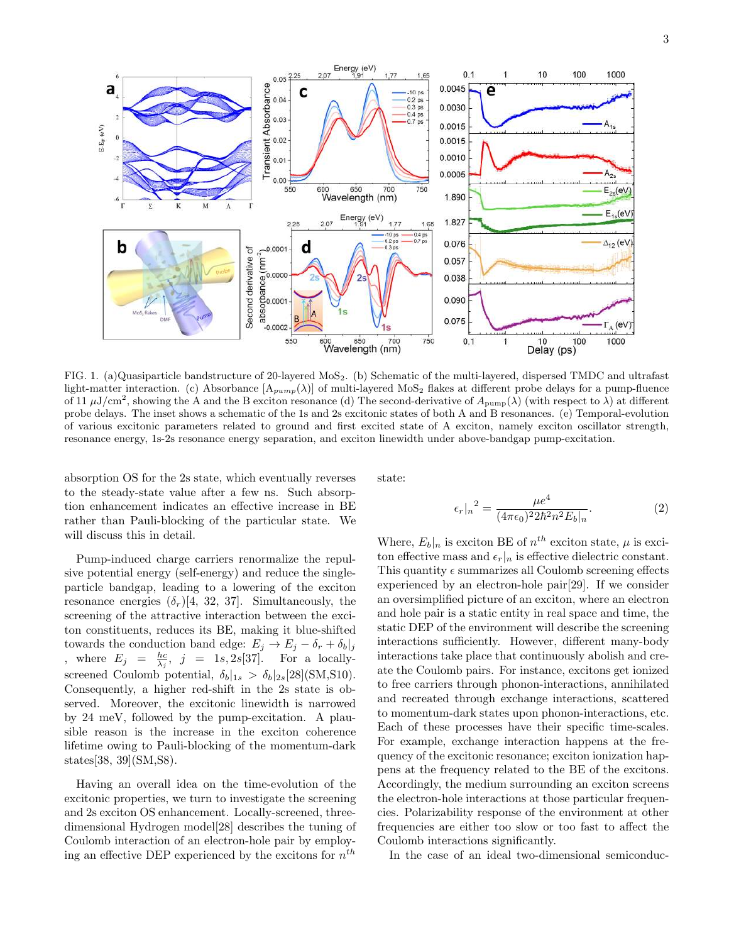

FIG. 1. (a)Quasiparticle bandstructure of 20-layered MoS2. (b) Schematic of the multi-layered, dispersed TMDC and ultrafast light-matter interaction. (c) Absorbance  $[A_{pump}(\lambda)]$  of multi-layered MoS<sub>2</sub> flakes at different probe delays for a pump-fluence of 11  $\mu$ J/cm<sup>2</sup>, showing the A and the B exciton resonance (d) The second-derivative of  $A_{\text{pump}}(\lambda)$  (with respect to  $\lambda$ ) at different probe delays. The inset shows a schematic of the 1s and 2s excitonic states of both A and B resonances. (e) Temporal-evolution of various excitonic parameters related to ground and first excited state of A exciton, namely exciton oscillator strength, resonance energy, 1s-2s resonance energy separation, and exciton linewidth under above-bandgap pump-excitation.

absorption OS for the 2s state, which eventually reverses to the steady-state value after a few ns. Such absorption enhancement indicates an effective increase in BE rather than Pauli-blocking of the particular state. We will discuss this in detail.

Pump-induced charge carriers renormalize the repulsive potential energy (self-energy) and reduce the singleparticle bandgap, leading to a lowering of the exciton resonance energies  $(\delta_r)[4, 32, 37]$ . Simultaneously, the screening of the attractive interaction between the exciton constituents, reduces its BE, making it blue-shifted towards the conduction band edge:  $E_j \to E_j - \delta_r + \delta_b|_j$ , where  $E_j = \frac{hc}{\lambda_j}$ ,  $j = 1s, 2s[37]$ . For a locallyscreened Coulomb potential,  $\delta_b|_{1s} > \delta_b|_{2s}[28](\text{SM},\text{S10}).$ Consequently, a higher red-shift in the 2s state is observed. Moreover, the excitonic linewidth is narrowed by 24 meV, followed by the pump-excitation. A plausible reason is the increase in the exciton coherence lifetime owing to Pauli-blocking of the momentum-dark states[38, 39](SM,S8).

Having an overall idea on the time-evolution of the excitonic properties, we turn to investigate the screening and 2s exciton OS enhancement. Locally-screened, threedimensional Hydrogen model[28] describes the tuning of Coulomb interaction of an electron-hole pair by employing an effective DEP experienced by the excitons for  $n^{th}$ 

state:

$$
\epsilon_r|_n^2 = \frac{\mu e^4}{(4\pi\epsilon_0)^2 2\hbar^2 n^2 E_b|_n}.\tag{2}
$$

Where,  $E_b|_n$  is exciton BE of  $n^{th}$  exciton state,  $\mu$  is exciton effective mass and  $\epsilon_r|_n$  is effective dielectric constant. This quantity  $\epsilon$  summarizes all Coulomb screening effects experienced by an electron-hole pair[29]. If we consider an oversimplified picture of an exciton, where an electron and hole pair is a static entity in real space and time, the static DEP of the environment will describe the screening interactions sufficiently. However, different many-body interactions take place that continuously abolish and create the Coulomb pairs. For instance, excitons get ionized to free carriers through phonon-interactions, annihilated and recreated through exchange interactions, scattered to momentum-dark states upon phonon-interactions, etc. Each of these processes have their specific time-scales. For example, exchange interaction happens at the frequency of the excitonic resonance; exciton ionization happens at the frequency related to the BE of the excitons. Accordingly, the medium surrounding an exciton screens the electron-hole interactions at those particular frequencies. Polarizability response of the environment at other frequencies are either too slow or too fast to affect the Coulomb interactions significantly.

In the case of an ideal two-dimensional semiconduc-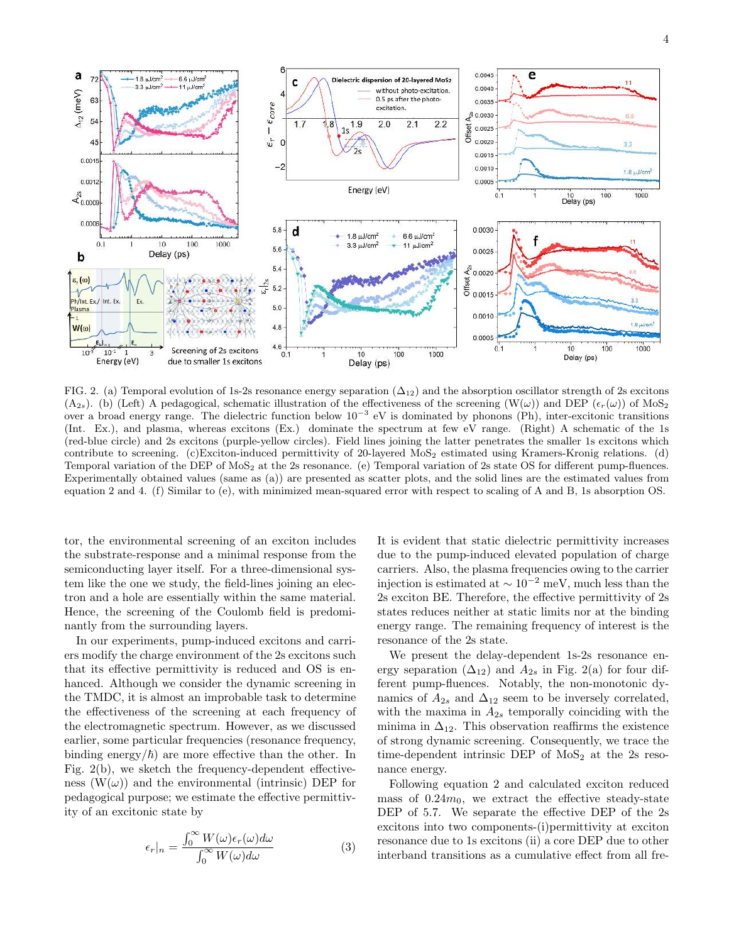

FIG. 2. (a) Temporal evolution of 1s-2s resonance energy separation  $(\Delta_{12})$  and the absorption oscillator strength of 2s excitons  $(A_{2s})$ . (b) (Left) A pedagogical, schematic illustration of the effectiveness of the screening  $(W(\omega))$  and DEP  $(\epsilon_r(\omega))$  of MoS<sub>2</sub> over a broad energy range. The dielectric function below  $10^{-3}$  eV is dominated by phonons (Ph), inter-excitonic transitions (Int. Ex.), and plasma, whereas excitons (Ex.) dominate the spectrum at few eV range. (Right) A schematic of the 1s (red-blue circle) and 2s excitons (purple-yellow circles). Field lines joining the latter penetrates the smaller 1s excitons which contribute to screening. (c)Exciton-induced permittivity of 20-layered MoS<sub>2</sub> estimated using Kramers-Kronig relations. (d) Temporal variation of the DEP of MoS<sub>2</sub> at the 2s resonance. (e) Temporal variation of 2s state OS for different pump-fluences. Experimentally obtained values (same as (a)) are presented as scatter plots, and the solid lines are the estimated values from equation 2 and 4. (f) Similar to (e), with minimized mean-squared error with respect to scaling of A and B, 1s absorption OS.

tor, the environmental screening of an exciton includes the substrate-response and a minimal response from the semiconducting layer itself. For a three-dimensional system like the one we study, the field-lines joining an electron and a hole are essentially within the same material. Hence, the screening of the Coulomb field is predominantly from the surrounding layers.

In our experiments, pump-induced excitons and carriers modify the charge environment of the 2s excitons such that its effective permittivity is reduced and OS is enhanced. Although we consider the dynamic screening in the TMDC, it is almost an improbable task to determine the effectiveness of the screening at each frequency of the electromagnetic spectrum. However, as we discussed earlier, some particular frequencies (resonance frequency, binding energy/ $\hbar$ ) are more effective than the other. In Fig. 2(b), we sketch the frequency-dependent effectiveness  $(W(\omega))$  and the environmental (intrinsic) DEP for pedagogical purpose; we estimate the effective permittivity of an excitonic state by

$$
\epsilon_r|_n = \frac{\int_0^\infty W(\omega)\epsilon_r(\omega)d\omega}{\int_0^\infty W(\omega)d\omega} \tag{3}
$$

It is evident that static dielectric permittivity increases due to the pump-induced elevated population of charge carriers. Also, the plasma frequencies owing to the carrier injection is estimated at ∼ 10<sup>−</sup><sup>2</sup> meV, much less than the 2s exciton BE. Therefore, the effective permittivity of 2s states reduces neither at static limits nor at the binding energy range. The remaining frequency of interest is the resonance of the 2s state.

We present the delay-dependent 1s-2s resonance energy separation  $(\Delta_{12})$  and  $A_{2s}$  in Fig. 2(a) for four different pump-fluences. Notably, the non-monotonic dynamics of  $A_{2s}$  and  $\Delta_{12}$  seem to be inversely correlated, with the maxima in  $A_{2s}$  temporally coinciding with the minima in  $\Delta_{12}$ . This observation reaffirms the existence of strong dynamic screening. Consequently, we trace the time-dependent intrinsic DEP of  $MoS<sub>2</sub>$  at the 2s resonance energy.

Following equation 2 and calculated exciton reduced mass of  $0.24m_0$ , we extract the effective steady-state DEP of 5.7. We separate the effective DEP of the 2s excitons into two components-(i)permittivity at exciton resonance due to 1s excitons (ii) a core DEP due to other interband transitions as a cumulative effect from all fre-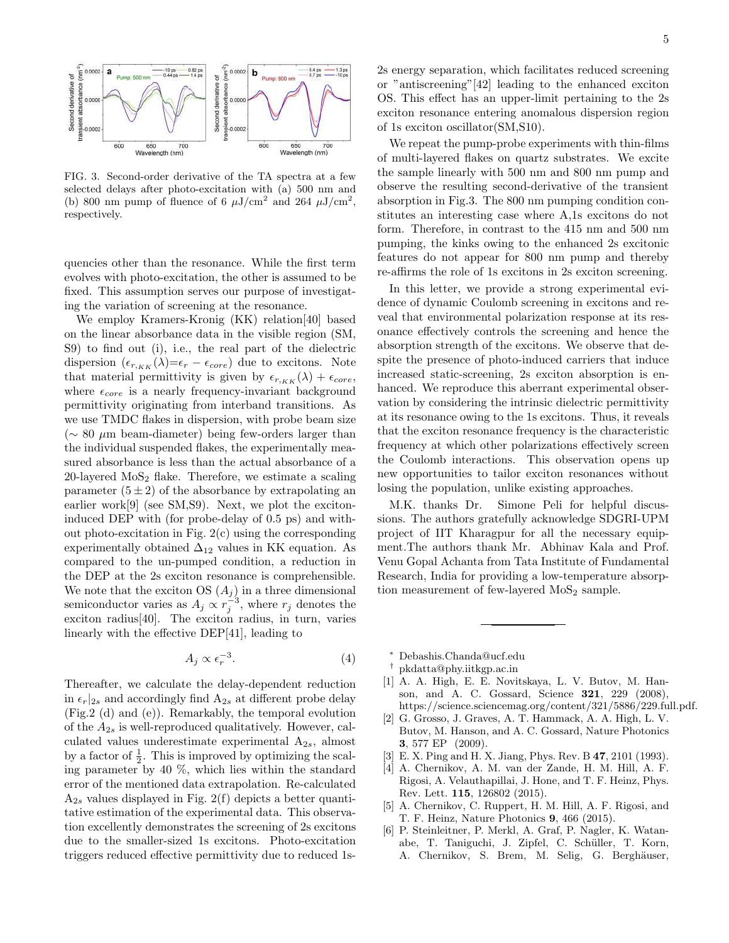

FIG. 3. Second-order derivative of the TA spectra at a few selected delays after photo-excitation with (a) 500 nm and (b) 800 nm pump of fluence of 6  $\mu$ J/cm<sup>2</sup> and 264  $\mu$ J/cm<sup>2</sup>, respectively.

quencies other than the resonance. While the first term evolves with photo-excitation, the other is assumed to be fixed. This assumption serves our purpose of investigating the variation of screening at the resonance.

We employ Kramers-Kronig (KK) relation[40] based on the linear absorbance data in the visible region (SM, S9) to find out (i), i.e., the real part of the dielectric dispersion  $(\epsilon_{r,KK}(\lambda)=\epsilon_r - \epsilon_{core})$  due to excitons. Note that material permittivity is given by  $\epsilon_{r,KK}(\lambda) + \epsilon_{core}$ , where  $\epsilon_{core}$  is a nearly frequency-invariant background permittivity originating from interband transitions. As we use TMDC flakes in dispersion, with probe beam size  $\sim 80 \mu m$  beam-diameter) being few-orders larger than the individual suspended flakes, the experimentally measured absorbance is less than the actual absorbance of a 20-layered  $MoS<sub>2</sub>$  flake. Therefore, we estimate a scaling parameter  $(5 \pm 2)$  of the absorbance by extrapolating an earlier work[9] (see SM,S9). Next, we plot the excitoninduced DEP with (for probe-delay of 0.5 ps) and without photo-excitation in Fig. 2(c) using the corresponding experimentally obtained  $\Delta_{12}$  values in KK equation. As compared to the un-pumped condition, a reduction in the DEP at the 2s exciton resonance is comprehensible. We note that the exciton OS  $(A_i)$  in a three dimensional semiconductor varies as  $A_j \propto r_j^{-3}$ , where  $r_j$  denotes the exciton radius[40]. The exciton radius, in turn, varies linearly with the effective DEP[41], leading to

$$
A_j \propto \epsilon_r^{-3}.\tag{4}
$$

Thereafter, we calculate the delay-dependent reduction in  $\epsilon_r|_{2s}$  and accordingly find  $A_{2s}$  at different probe delay (Fig.2 (d) and (e)). Remarkably, the temporal evolution of the  $A_{2s}$  is well-reproduced qualitatively. However, calculated values underestimate experimental  $A_{2s}$ , almost by a factor of  $\frac{1}{2}$ . This is improved by optimizing the scaling parameter by 40 %, which lies within the standard error of the mentioned data extrapolation. Re-calculated  $A_{2s}$  values displayed in Fig. 2(f) depicts a better quantitative estimation of the experimental data. This observation excellently demonstrates the screening of 2s excitons due to the smaller-sized 1s excitons. Photo-excitation triggers reduced effective permittivity due to reduced 1s-

2s energy separation, which facilitates reduced screening or "antiscreening"[42] leading to the enhanced exciton OS. This effect has an upper-limit pertaining to the 2s exciton resonance entering anomalous dispersion region of 1s exciton oscillator(SM,S10).

We repeat the pump-probe experiments with thin-films of multi-layered flakes on quartz substrates. We excite the sample linearly with 500 nm and 800 nm pump and observe the resulting second-derivative of the transient absorption in Fig.3. The 800 nm pumping condition constitutes an interesting case where A,1s excitons do not form. Therefore, in contrast to the 415 nm and 500 nm pumping, the kinks owing to the enhanced 2s excitonic features do not appear for 800 nm pump and thereby re-affirms the role of 1s excitons in 2s exciton screening.

In this letter, we provide a strong experimental evidence of dynamic Coulomb screening in excitons and reveal that environmental polarization response at its resonance effectively controls the screening and hence the absorption strength of the excitons. We observe that despite the presence of photo-induced carriers that induce increased static-screening, 2s exciton absorption is enhanced. We reproduce this aberrant experimental observation by considering the intrinsic dielectric permittivity at its resonance owing to the 1s excitons. Thus, it reveals that the exciton resonance frequency is the characteristic frequency at which other polarizations effectively screen the Coulomb interactions. This observation opens up new opportunities to tailor exciton resonances without losing the population, unlike existing approaches.

M.K. thanks Dr. Simone Peli for helpful discussions. The authors gratefully acknowledge SDGRI-UPM project of IIT Kharagpur for all the necessary equipment.The authors thank Mr. Abhinav Kala and Prof. Venu Gopal Achanta from Tata Institute of Fundamental Research, India for providing a low-temperature absorption measurement of few-layered  $MoS<sub>2</sub>$  sample.

- <sup>∗</sup> Debashis.Chanda@ucf.edu
- † pkdatta@phy.iitkgp.ac.in
- [1] A. A. High, E. E. Novitskaya, L. V. Butov, M. Hanson, and A. C. Gossard, Science 321, 229 (2008), https://science.sciencemag.org/content/321/5886/229.full.pdf.
- [2] G. Grosso, J. Graves, A. T. Hammack, A. A. High, L. V. Butov, M. Hanson, and A. C. Gossard, Nature Photonics 3, 577 EP (2009).
- [3] E. X. Ping and H. X. Jiang, Phys. Rev. B 47, 2101 (1993).
- [4] A. Chernikov, A. M. van der Zande, H. M. Hill, A. F. Rigosi, A. Velauthapillai, J. Hone, and T. F. Heinz, Phys. Rev. Lett. 115, 126802 (2015).
- [5] A. Chernikov, C. Ruppert, H. M. Hill, A. F. Rigosi, and T. F. Heinz, Nature Photonics 9, 466 (2015).
- [6] P. Steinleitner, P. Merkl, A. Graf, P. Nagler, K. Watanabe, T. Taniguchi, J. Zipfel, C. Schüller, T. Korn, A. Chernikov, S. Brem, M. Selig, G. Berghäuser,